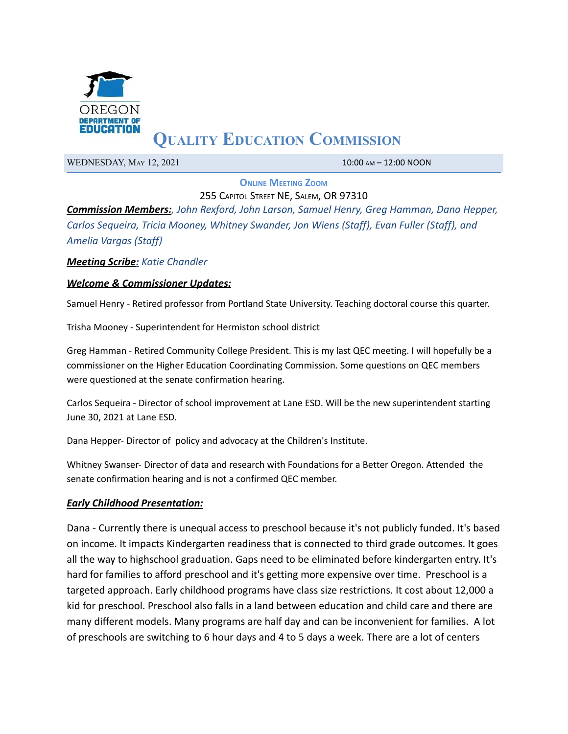

# **QUALITY EDUCATION COMMISSION**

WEDNESDAY, MAY 12, 2021 10:00 AM – 12:00 NOON

**ONLINE MEETING ZOOM**

255 CAPITOL STREET NE, SALEM, OR 97310 *Commission Members:, John Rexford, John Larson, Samuel Henry, Greg Hamman, Dana Hepper, Carlos Sequeira, Tricia Mooney, Whitney Swander, Jon Wiens (Staff), Evan Fuller (Staff), and*

*Amelia Vargas (Staff)*

### *Meeting Scribe: Katie Chandler*

### *Welcome & Commissioner Updates:*

Samuel Henry - Retired professor from Portland State University. Teaching doctoral course this quarter.

Trisha Mooney - Superintendent for Hermiston school district

Greg Hamman - Retired Community College President. This is my last QEC meeting. I will hopefully be a commissioner on the Higher Education Coordinating Commission. Some questions on QEC members were questioned at the senate confirmation hearing.

Carlos Sequeira - Director of school improvement at Lane ESD. Will be the new superintendent starting June 30, 2021 at Lane ESD.

Dana Hepper- Director of policy and advocacy at the Children's Institute.

Whitney Swanser- Director of data and research with Foundations for a Better Oregon. Attended the senate confirmation hearing and is not a confirmed QEC member.

## *Early Childhood Presentation:*

Dana - Currently there is unequal access to preschool because it's not publicly funded. It's based on income. It impacts Kindergarten readiness that is connected to third grade outcomes. It goes all the way to highschool graduation. Gaps need to be eliminated before kindergarten entry. It's hard for families to afford preschool and it's getting more expensive over time. Preschool is a targeted approach. Early childhood programs have class size restrictions. It cost about 12,000 a kid for preschool. Preschool also falls in a land between education and child care and there are many different models. Many programs are half day and can be inconvenient for families. A lot of preschools are switching to 6 hour days and 4 to 5 days a week. There are a lot of centers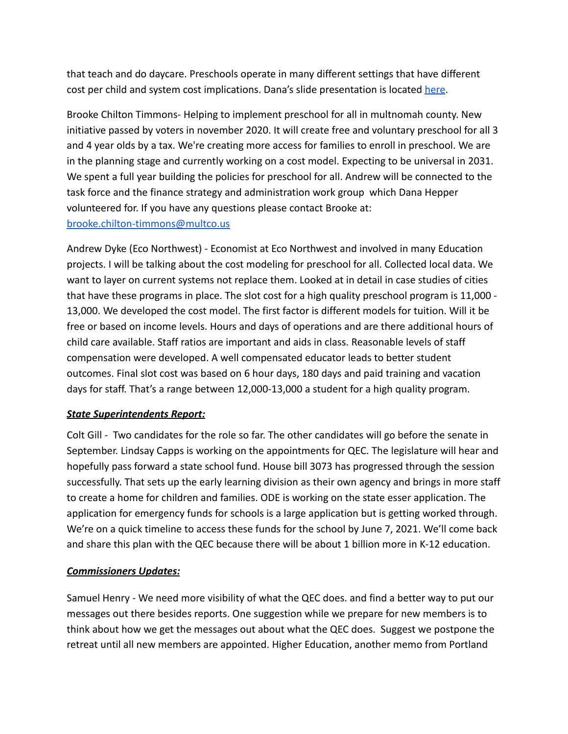that teach and do daycare. Preschools operate in many different settings that have different cost per child and system cost implications. Dana's slide presentation is located [here](https://docs.google.com/presentation/d/1zkMP5JJvWEcA7blBEjpx94yK6MyHyQZg7xUqYpLo6ww/edit#slide=id.p).

Brooke Chilton Timmons- Helping to implement preschool for all in multnomah county. New initiative passed by voters in november 2020. It will create free and voluntary preschool for all 3 and 4 year olds by a tax. We're creating more access for families to enroll in preschool. We are in the planning stage and currently working on a cost model. Expecting to be universal in 2031. We spent a full year building the policies for preschool for all. Andrew will be connected to the task force and the finance strategy and administration work group which Dana Hepper volunteered for. If you have any questions please contact Brooke at: [brooke.chilton-timmons@multco.us](mailto:brooke.chilton-timmons@multco.us)

Andrew Dyke (Eco Northwest) - Economist at Eco Northwest and involved in many Education projects. I will be talking about the cost modeling for preschool for all. Collected local data. We want to layer on current systems not replace them. Looked at in detail in case studies of cities that have these programs in place. The slot cost for a high quality preschool program is 11,000 - 13,000. We developed the cost model. The first factor is different models for tuition. Will it be free or based on income levels. Hours and days of operations and are there additional hours of child care available. Staff ratios are important and aids in class. Reasonable levels of staff compensation were developed. A well compensated educator leads to better student outcomes. Final slot cost was based on 6 hour days, 180 days and paid training and vacation days for staff. That's a range between 12,000-13,000 a student for a high quality program.

# *State Superintendents Report:*

Colt Gill - Two candidates for the role so far. The other candidates will go before the senate in September. Lindsay Capps is working on the appointments for QEC. The legislature will hear and hopefully pass forward a state school fund. House bill 3073 has progressed through the session successfully. That sets up the early learning division as their own agency and brings in more staff to create a home for children and families. ODE is working on the state esser application. The application for emergency funds for schools is a large application but is getting worked through. We're on a quick timeline to access these funds for the school by June 7, 2021. We'll come back and share this plan with the QEC because there will be about 1 billion more in K-12 education.

# *Commissioners Updates:*

Samuel Henry - We need more visibility of what the QEC does. and find a better way to put our messages out there besides reports. One suggestion while we prepare for new members is to think about how we get the messages out about what the QEC does. Suggest we postpone the retreat until all new members are appointed. Higher Education, another memo from Portland